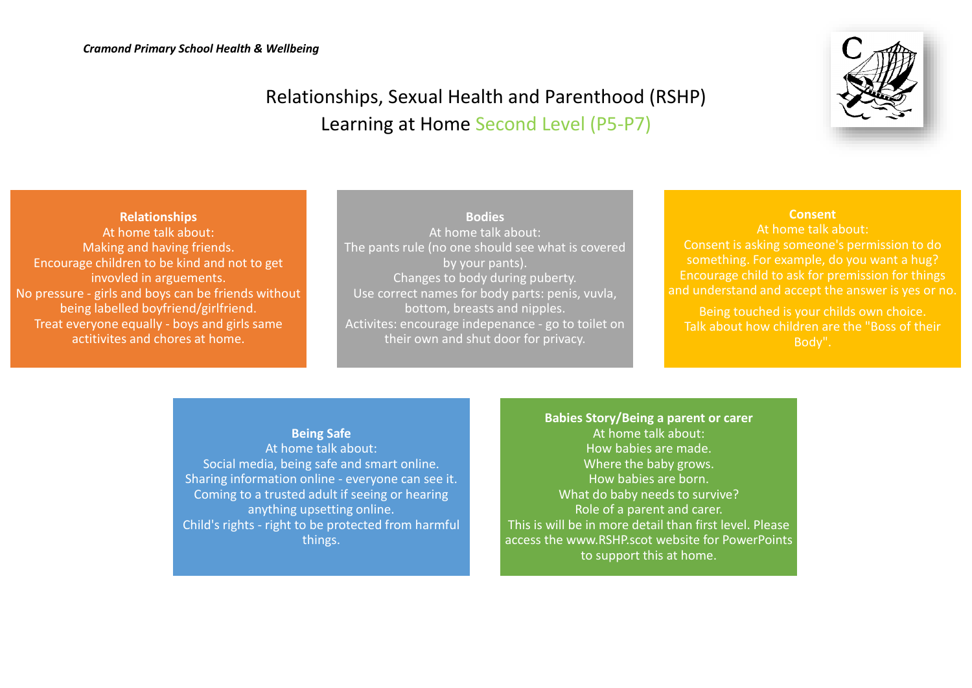

# Relationships, Sexual Health and Parenthood (RSHP) Learning at Home Second Level (P5-P7)

**Relationships** At home talk about: Making and having friends. Encourage children to be kind and not to get invovled in arguements. No pressure - girls and boys can be friends without being labelled boyfriend/girlfriend. Treat everyone equally - boys and girls same actitivites and chores at home.

### **Bodies** At home talk about: The pants rule (no one should see what is covered by your pants). Changes to body during puberty. Use correct names for body parts: penis, vuvla, bottom, breasts and nipples. Activites: encourage indepenance - go to toilet on their own and shut door for privacy.

## **Consent**

At home talk about: Consent is asking someone's permission to do something. For example, do you want a hug? Encourage child to ask for premission for things and understand and accept the answer is yes or no.

Being touched is your childs own choice. Talk about how children are the "Boss of their Body".

### **Being Safe**

At home talk about: Social media, being safe and smart online. Sharing information online - everyone can see it. Coming to a trusted adult if seeing or hearing anything upsetting online. Child's rights - right to be protected from harmful things.

**Babies Story/Being a parent or carer** At home talk about: How babies are made. Where the baby grows. How babies are born. What do baby needs to survive? Role of a parent and carer. This is will be in more detail than first level. Please access the www.RSHP.scot website for PowerPoints to support this at home.